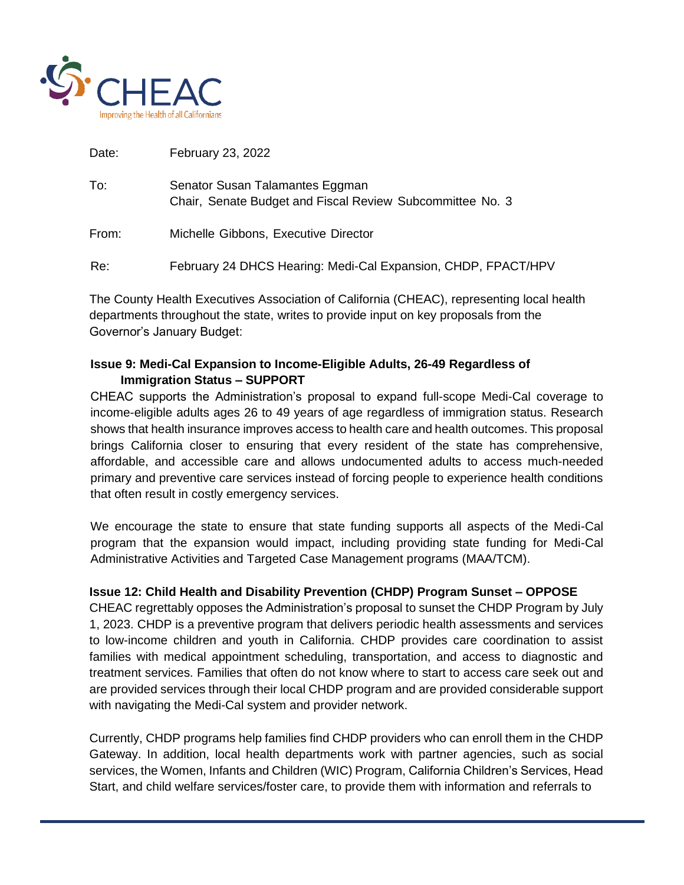

| Senator Susan Talamantes Eggman<br>Chair, Senate Budget and Fiscal Review Subcommittee No. 3 |
|----------------------------------------------------------------------------------------------|
| Michelle Gibbons, Executive Director                                                         |
| February 24 DHCS Hearing: Medi-Cal Expansion, CHDP, FPACT/HPV                                |
|                                                                                              |

The County Health Executives Association of California (CHEAC), representing local health departments throughout the state, writes to provide input on key proposals from the Governor's January Budget:

## **Issue 9: Medi-Cal Expansion to Income-Eligible Adults, 26-49 Regardless of Immigration Status – SUPPORT**

CHEAC supports the Administration's proposal to expand full-scope Medi-Cal coverage to income-eligible adults ages 26 to 49 years of age regardless of immigration status. Research shows that health insurance improves access to health care and health outcomes. This proposal brings California closer to ensuring that every resident of the state has comprehensive, affordable, and accessible care and allows undocumented adults to access much-needed primary and preventive care services instead of forcing people to experience health conditions that often result in costly emergency services.

We encourage the state to ensure that state funding supports all aspects of the Medi-Cal program that the expansion would impact, including providing state funding for Medi-Cal Administrative Activities and Targeted Case Management programs (MAA/TCM).

## **Issue 12: Child Health and Disability Prevention (CHDP) Program Sunset – OPPOSE**

CHEAC regrettably opposes the Administration's proposal to sunset the CHDP Program by July 1, 2023. CHDP is a preventive program that delivers periodic health assessments and services to low-income children and youth in California. CHDP provides care coordination to assist families with medical appointment scheduling, transportation, and access to diagnostic and treatment services. Families that often do not know where to start to access care seek out and are provided services through their local CHDP program and are provided considerable support with navigating the Medi-Cal system and provider network.

Currently, CHDP programs help families find CHDP providers who can enroll them in the CHDP Gateway. In addition, local health departments work with partner agencies, such as social services, the Women, Infants and Children (WIC) Program, California Children's Services, Head Start, and child welfare services/foster care, to provide them with information and referrals to